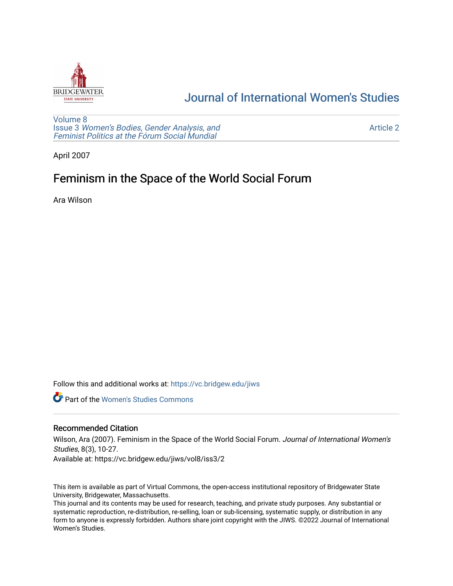

# [Journal of International Women's Studies](https://vc.bridgew.edu/jiws)

[Volume 8](https://vc.bridgew.edu/jiws/vol8) Issue 3 [Women's Bodies, Gender Analysis, and](https://vc.bridgew.edu/jiws/vol8/iss3) [Feminist Politics at the Fórum Social Mundial](https://vc.bridgew.edu/jiws/vol8/iss3)

[Article 2](https://vc.bridgew.edu/jiws/vol8/iss3/2) 

April 2007

# Feminism in the Space of the World Social Forum

Ara Wilson

Follow this and additional works at: [https://vc.bridgew.edu/jiws](https://vc.bridgew.edu/jiws?utm_source=vc.bridgew.edu%2Fjiws%2Fvol8%2Fiss3%2F2&utm_medium=PDF&utm_campaign=PDFCoverPages)

**C** Part of the Women's Studies Commons

#### Recommended Citation

Wilson, Ara (2007). Feminism in the Space of the World Social Forum. Journal of International Women's Studies, 8(3), 10-27.

Available at: https://vc.bridgew.edu/jiws/vol8/iss3/2

This item is available as part of Virtual Commons, the open-access institutional repository of Bridgewater State University, Bridgewater, Massachusetts.

This journal and its contents may be used for research, teaching, and private study purposes. Any substantial or systematic reproduction, re-distribution, re-selling, loan or sub-licensing, systematic supply, or distribution in any form to anyone is expressly forbidden. Authors share joint copyright with the JIWS. ©2022 Journal of International Women's Studies.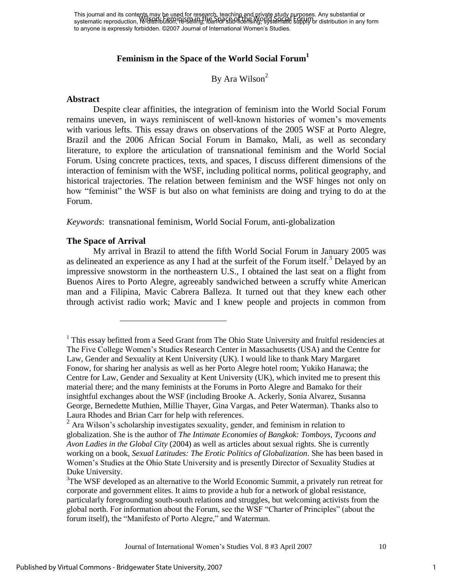This journal and its contents may be used for research, teaching and private study purposes. Any substantial or This journal and its contents may be distributed to resemble from the Show Pubboscs. Any substantial or sub-licensing the World State of the Space of the Space of the World Society of the Space of the World Society of the to anyone is expressly forbidden. ©2007 Journal of International Women's Studies.

## **Feminism in the Space of the World Social Forum<sup>1</sup>**

## By Ara Wilson<sup>2</sup>

#### **Abstract**

Despite clear affinities, the integration of feminism into the World Social Forum remains uneven, in ways reminiscent of well-known histories of women's movements with various lefts. This essay draws on observations of the 2005 WSF at Porto Alegre, Brazil and the 2006 African Social Forum in Bamako, Mali, as well as secondary literature, to explore the articulation of transnational feminism and the World Social Forum. Using concrete practices, texts, and spaces, I discuss different dimensions of the interaction of feminism with the WSF, including political norms, political geography, and historical trajectories. The relation between feminism and the WSF hinges not only on how "feminist" the WSF is but also on what feminists are doing and trying to do at the Forum.

*Keywords*: transnational feminism, World Social Forum, anti-globalization

#### **The Space of Arrival**

 $\overline{a}$ 

My arrival in Brazil to attend the fifth World Social Forum in January 2005 was as delineated an experience as any I had at the surfeit of the Forum itself.<sup>3</sup> Delayed by an impressive snowstorm in the northeastern U.S., I obtained the last seat on a flight from Buenos Aires to Porto Alegre, agreeably sandwiched between a scruffy white American man and a Filipina, Mavic Cabrera Balleza. It turned out that they knew each other through activist radio work; Mavic and I knew people and projects in common from

<sup>&</sup>lt;sup>1</sup> This essay befitted from a Seed Grant from The Ohio State University and fruitful residencies at The Five College Women's Studies Research Center in Massachusetts (USA) and the Centre for Law, Gender and Sexuality at Kent University (UK). I would like to thank Mary Margaret Fonow, for sharing her analysis as well as her Porto Alegre hotel room; Yukiko Hanawa; the Centre for Law, Gender and Sexuality at Kent University (UK), which invited me to present this material there; and the many feminists at the Forums in Porto Alegre and Bamako for their insightful exchanges about the WSF (including Brooke A. Ackerly, Sonia Alvarez, Susanna George, Bernedette Muthien, Millie Thayer, Gina Vargas, and Peter Waterman). Thanks also to Laura Rhodes and Brian Carr for help with references.

<sup>&</sup>lt;sup>2</sup> Ara Wilson's scholarship investigates sexuality, gender, and feminism in relation to globalization. She is the author of *The Intimate Economies of Bangkok: Tomboys, Tycoons and Avon Ladies in the Global City* (2004) as well as articles about sexual rights. She is currently working on a book, *Sexual Latitudes: The Erotic Politics of Globalization*. She has been based in Women's Studies at the Ohio State University and is presently Director of Sexuality Studies at Duke University.

 $3$ The WSF developed as an alternative to the World Economic Summit, a privately run retreat for corporate and government elites. It aims to provide a hub for a network of global resistance, particularly foregrounding south-south relations and struggles, but welcoming activists from the global north. For information about the Forum, see the WSF "Charter of Principles" (about the forum itself), the "Manifesto of Porto Alegre," and Waterman.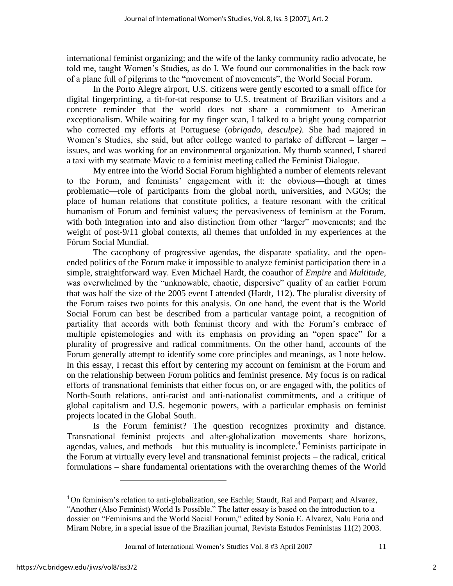international feminist organizing; and the wife of the lanky community radio advocate, he told me, taught Women's Studies, as do I. We found our commonalities in the back row of a plane full of pilgrims to the "movement of movements", the World Social Forum.

In the Porto Alegre airport, U.S. citizens were gently escorted to a small office for digital fingerprinting, a tit-for-tat response to U.S. treatment of Brazilian visitors and a concrete reminder that the world does not share a commitment to American exceptionalism. While waiting for my finger scan, I talked to a bright young compatriot who corrected my efforts at Portuguese (*obrigado*, *desculpe)*. She had majored in Women's Studies, she said, but after college wanted to partake of different – larger – issues, and was working for an environmental organization. My thumb scanned, I shared a taxi with my seatmate Mavic to a feminist meeting called the Feminist Dialogue.

My entree into the World Social Forum highlighted a number of elements relevant to the Forum, and feminists' engagement with it: the obvious—though at times problematic—role of participants from the global north, universities, and NGOs; the place of human relations that constitute politics, a feature resonant with the critical humanism of Forum and feminist values; the pervasiveness of feminism at the Forum, with both integration into and also distinction from other "larger" movements; and the weight of post-9/11 global contexts, all themes that unfolded in my experiences at the Fórum Social Mundial.

The cacophony of progressive agendas, the disparate spatiality, and the openended politics of the Forum make it impossible to analyze feminist participation there in a simple, straightforward way. Even Michael Hardt, the coauthor of *Empire* and *Multitude*, was overwhelmed by the "unknowable, chaotic, dispersive" quality of an earlier Forum that was half the size of the 2005 event I attended (Hardt, 112). The pluralist diversity of the Forum raises two points for this analysis. On one hand, the event that is the World Social Forum can best be described from a particular vantage point, a recognition of partiality that accords with both feminist theory and with the Forum's embrace of multiple epistemologies and with its emphasis on providing an "open space" for a plurality of progressive and radical commitments. On the other hand, accounts of the Forum generally attempt to identify some core principles and meanings, as I note below. In this essay, I recast this effort by centering my account on feminism at the Forum and on the relationship between Forum politics and feminist presence. My focus is on radical efforts of transnational feminists that either focus on, or are engaged with, the politics of North-South relations, anti-racist and anti-nationalist commitments, and a critique of global capitalism and U.S. hegemonic powers, with a particular emphasis on feminist projects located in the Global South.

Is the Forum feminist? The question recognizes proximity and distance. Transnational feminist projects and alter-globalization movements share horizons, agendas, values, and methods  $-$  but this mutuality is incomplete.<sup>4</sup> Feminists participate in the Forum at virtually every level and transnational feminist projects – the radical, critical formulations – share fundamental orientations with the overarching themes of the World

 $\overline{a}$ 

<sup>&</sup>lt;sup>4</sup> On feminism's relation to anti-globalization, see Eschle; Staudt, Rai and Parpart; and Alvarez, "Another (Also Feminist) World Is Possible." The latter essay is based on the introduction to a dossier on "Feminisms and the World Social Forum," edited by Sonia E. Alvarez, Nalu Faria and Miram Nobre, in a special issue of the Brazilian journal, Revista Estudos Feministas 11(2) 2003.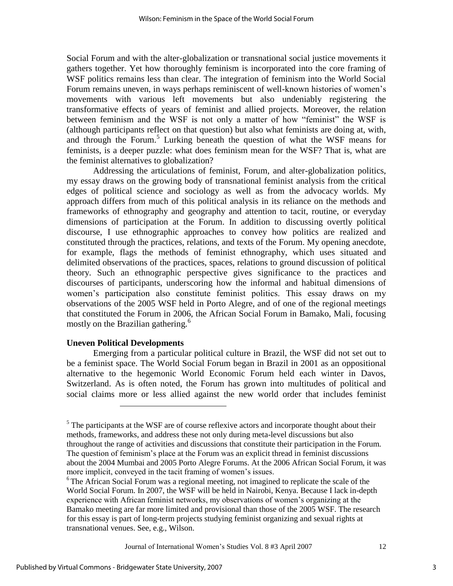Social Forum and with the alter-globalization or transnational social justice movements it gathers together. Yet how thoroughly feminism is incorporated into the core framing of WSF politics remains less than clear. The integration of feminism into the World Social Forum remains uneven, in ways perhaps reminiscent of well-known histories of women's movements with various left movements but also undeniably registering the transformative effects of years of feminist and allied projects. Moreover, the relation between feminism and the WSF is not only a matter of how "feminist" the WSF is (although participants reflect on that question) but also what feminists are doing at, with, and through the Forum.<sup>5</sup> Lurking beneath the question of what the WSF means for feminists, is a deeper puzzle: what does feminism mean for the WSF? That is, what are the feminist alternatives to globalization?

Addressing the articulations of feminist, Forum, and alter-globalization politics, my essay draws on the growing body of transnational feminist analysis from the critical edges of political science and sociology as well as from the advocacy worlds. My approach differs from much of this political analysis in its reliance on the methods and frameworks of ethnography and geography and attention to tacit, routine, or everyday dimensions of participation at the Forum. In addition to discussing overtly political discourse, I use ethnographic approaches to convey how politics are realized and constituted through the practices, relations, and texts of the Forum. My opening anecdote, for example, flags the methods of feminist ethnography, which uses situated and delimited observations of the practices, spaces, relations to ground discussion of political theory. Such an ethnographic perspective gives significance to the practices and discourses of participants, underscoring how the informal and habitual dimensions of women's participation also constitute feminist politics. This essay draws on my observations of the 2005 WSF held in Porto Alegre, and of one of the regional meetings that constituted the Forum in 2006, the African Social Forum in Bamako, Mali, focusing mostly on the Brazilian gathering.<sup>6</sup>

#### **Uneven Political Developments**

 $\overline{a}$ 

Emerging from a particular political culture in Brazil, the WSF did not set out to be a feminist space. The World Social Forum began in Brazil in 2001 as an oppositional alternative to the hegemonic World Economic Forum held each winter in Davos, Switzerland. As is often noted, the Forum has grown into multitudes of political and social claims more or less allied against the new world order that includes feminist

Journal of International Women's Studies Vol. 8 #3 April 2007 12

 $<sup>5</sup>$  The participants at the WSF are of course reflexive actors and incorporate thought about their</sup> methods, frameworks, and address these not only during meta-level discussions but also throughout the range of activities and discussions that constitute their participation in the Forum. The question of feminism's place at the Forum was an explicit thread in feminist discussions about the 2004 Mumbai and 2005 Porto Alegre Forums. At the 2006 African Social Forum, it was more implicit, conveyed in the tacit framing of women's issues.

 $6$  The African Social Forum was a regional meeting, not imagined to replicate the scale of the World Social Forum. In 2007, the WSF will be held in Nairobi, Kenya. Because I lack in-depth experience with African feminist networks, my observations of women's organizing at the Bamako meeting are far more limited and provisional than those of the 2005 WSF. The research for this essay is part of long-term projects studying feminist organizing and sexual rights at transnational venues. See, e.g., Wilson.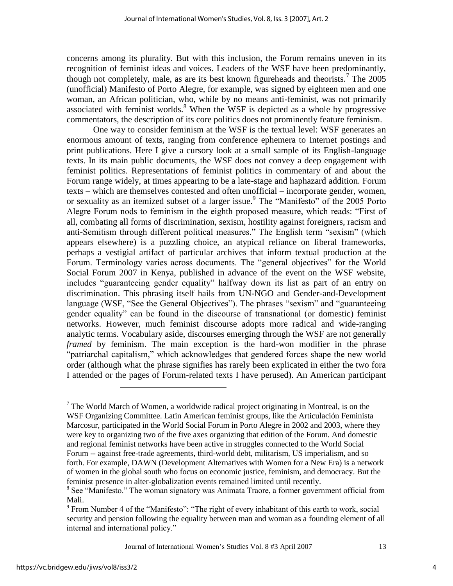concerns among its plurality. But with this inclusion, the Forum remains uneven in its recognition of feminist ideas and voices. Leaders of the WSF have been predominantly, though not completely, male, as are its best known figureheads and theorists.<sup>7</sup> The  $2005$ (unofficial) Manifesto of Porto Alegre, for example, was signed by eighteen men and one woman, an African politician, who, while by no means anti-feminist, was not primarily associated with feminist worlds. $8$  When the WSF is depicted as a whole by progressive commentators, the description of its core politics does not prominently feature feminism.

One way to consider feminism at the WSF is the textual level: WSF generates an enormous amount of texts, ranging from conference ephemera to Internet postings and print publications. Here I give a cursory look at a small sample of its English-language texts. In its main public documents, the WSF does not convey a deep engagement with feminist politics. Representations of feminist politics in commentary of and about the Forum range widely, at times appearing to be a late-stage and haphazard addition. Forum texts – which are themselves contested and often unofficial – incorporate gender, women, or sexuality as an itemized subset of a larger issue.<sup>9</sup> The "Manifesto" of the 2005 Porto Alegre Forum nods to feminism in the eighth proposed measure, which reads: "First of all, combating all forms of discrimination, sexism, hostility against foreigners, racism and anti-Semitism through different political measures." The English term "sexism" (which appears elsewhere) is a puzzling choice, an atypical reliance on liberal frameworks, perhaps a vestigial artifact of particular archives that inform textual production at the Forum. Terminology varies across documents. The "general objectives" for the World Social Forum 2007 in Kenya, published in advance of the event on the WSF website, includes "guaranteeing gender equality" halfway down its list as part of an entry on discrimination. This phrasing itself hails from UN-NGO and Gender-and-Development language (WSF, "See the General Objectives"). The phrases "sexism" and "guaranteeing gender equality" can be found in the discourse of transnational (or domestic) feminist networks. However, much feminist discourse adopts more radical and wide-ranging analytic terms. Vocabulary aside, discourses emerging through the WSF are not generally *framed* by feminism. The main exception is the hard-won modifier in the phrase "patriarchal capitalism," which acknowledges that gendered forces shape the new world order (although what the phrase signifies has rarely been explicated in either the two fora I attended or the pages of Forum-related texts I have perused). An American participant

Journal of International Women's Studies Vol. 8 #3 April 2007 13

 $\overline{a}$ 

<sup>&</sup>lt;sup>7</sup> The World March of Women, a worldwide radical project originating in Montreal, is on the WSF Organizing Committee. Latin American feminist groups, like the Articulación Feminista Marcosur, participated in the World Social Forum in Porto Alegre in 2002 and 2003, where they were key to organizing two of the five axes organizing that edition of the Forum. And domestic and regional feminist networks have been active in struggles connected to the World Social Forum -- against free-trade agreements, third-world debt, militarism, US imperialism, and so forth. For example, DAWN (Development Alternatives with Women for a New Era) is a network of women in the global south who focus on economic justice, feminism, and democracy. But the feminist presence in alter-globalization events remained limited until recently.

<sup>&</sup>lt;sup>8</sup> See "Manifesto." The woman signatory was Animata Traore, a former government official from Mali.

 $9^9$  From Number 4 of the "Manifesto": "The right of every inhabitant of this earth to work, social security and pension following the equality between man and woman as a founding element of all internal and international policy."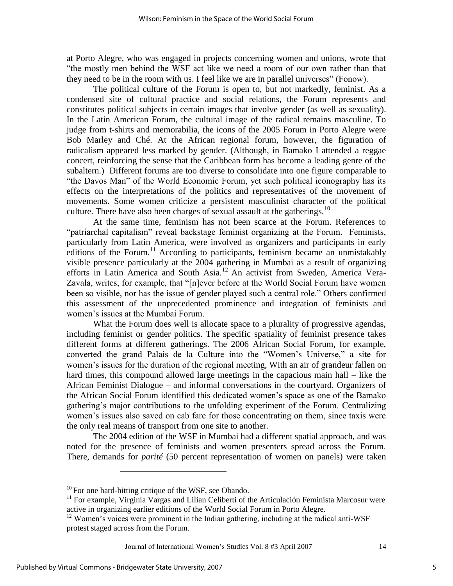at Porto Alegre, who was engaged in projects concerning women and unions, wrote that ―the mostly men behind the WSF act like we need a room of our own rather than that they need to be in the room with us. I feel like we are in parallel universes" (Fonow).

The political culture of the Forum is open to, but not markedly, feminist. As a condensed site of cultural practice and social relations, the Forum represents and constitutes political subjects in certain images that involve gender (as well as sexuality). In the Latin American Forum, the cultural image of the radical remains masculine. To judge from t-shirts and memorabilia, the icons of the 2005 Forum in Porto Alegre were Bob Marley and Ché. At the African regional forum, however, the figuration of radicalism appeared less marked by gender. (Although, in Bamako I attended a reggae concert, reinforcing the sense that the Caribbean form has become a leading genre of the subaltern.) Different forums are too diverse to consolidate into one figure comparable to ―the Davos Man‖ of the World Economic Forum, yet such political iconography has its effects on the interpretations of the politics and representatives of the movement of movements. Some women criticize a persistent masculinist character of the political culture. There have also been charges of sexual assault at the gatherings.<sup>10</sup>

At the same time, feminism has not been scarce at the Forum. References to "patriarchal capitalism" reveal backstage feminist organizing at the Forum. Feminists, particularly from Latin America, were involved as organizers and participants in early editions of the Forum.<sup>11</sup> According to participants, feminism became an unmistakably visible presence particularly at the 2004 gathering in Mumbai as a result of organizing efforts in Latin America and South Asia.<sup>12</sup> An activist from Sweden, America Vera-Zavala, writes, for example, that "[n]ever before at the World Social Forum have women been so visible, nor has the issue of gender played such a central role." Others confirmed this assessment of the unprecedented prominence and integration of feminists and women's issues at the Mumbai Forum.

What the Forum does well is allocate space to a plurality of progressive agendas, including feminist or gender politics. The specific spatiality of feminist presence takes different forms at different gatherings. The 2006 African Social Forum, for example, converted the grand Palais de la Culture into the "Women's Universe," a site for women's issues for the duration of the regional meeting, With an air of grandeur fallen on hard times, this compound allowed large meetings in the capacious main hall – like the African Feminist Dialogue – and informal conversations in the courtyard. Organizers of the African Social Forum identified this dedicated women's space as one of the Bamako gathering's major contributions to the unfolding experiment of the Forum. Centralizing women's issues also saved on cab fare for those concentrating on them, since taxis were the only real means of transport from one site to another.

The 2004 edition of the WSF in Mumbai had a different spatial approach, and was noted for the presence of feminists and women presenters spread across the Forum. There, demands for *parité* (50 percent representation of women on panels) were taken

Journal of International Women's Studies Vol. 8 #3 April 2007 14

 $\overline{a}$ 

 $10$  For one hard-hitting critique of the WSF, see Obando.

<sup>&</sup>lt;sup>11</sup> For example, Virginia Vargas and Lilian Celiberti of the Articulación Feminista Marcosur were active in organizing earlier editions of the World Social Forum in Porto Alegre.

<sup>&</sup>lt;sup>12</sup> Women's voices were prominent in the Indian gathering, including at the radical anti-WSF protest staged across from the Forum.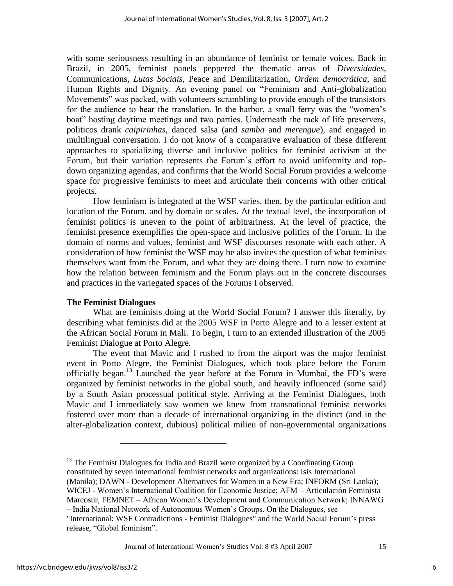with some seriousness resulting in an abundance of feminist or female voices. Back in Brazil, in 2005, feminist panels peppered the thematic areas of *Diversidades*, Communications, *Lutas Sociais*, Peace and Demilitarization, *Ordem democrática*, and Human Rights and Dignity. An evening panel on "Feminism and Anti-globalization Movements" was packed, with volunteers scrambling to provide enough of the transistors for the audience to hear the translation. In the harbor, a small ferry was the "women's boat" hosting daytime meetings and two parties. Underneath the rack of life preservers, politicos drank *caipirinhas*, danced salsa (and *samba* and *merengue*), and engaged in multilingual conversation. I do not know of a comparative evaluation of these different approaches to spatializing diverse and inclusive politics for feminist activism at the Forum, but their variation represents the Forum's effort to avoid uniformity and topdown organizing agendas, and confirms that the World Social Forum provides a welcome space for progressive feminists to meet and articulate their concerns with other critical projects.

How feminism is integrated at the WSF varies, then, by the particular edition and location of the Forum, and by domain or scales. At the textual level, the incorporation of feminist politics is uneven to the point of arbitrariness. At the level of practice, the feminist presence exemplifies the open-space and inclusive politics of the Forum. In the domain of norms and values, feminist and WSF discourses resonate with each other. A consideration of how feminist the WSF may be also invites the question of what feminists themselves want from the Forum, and what they are doing there. I turn now to examine how the relation between feminism and the Forum plays out in the concrete discourses and practices in the variegated spaces of the Forums I observed.

## **The Feminist Dialogues**

 $\overline{a}$ 

What are feminists doing at the World Social Forum? I answer this literally, by describing what feminists did at the 2005 WSF in Porto Alegre and to a lesser extent at the African Social Forum in Mali. To begin, I turn to an extended illustration of the 2005 Feminist Dialogue at Porto Alegre.

The event that Mavic and I rushed to from the airport was the major feminist event in Porto Alegre, the Feminist Dialogues, which took place before the Forum officially began.<sup>13</sup> Launched the year before at the Forum in Mumbai, the FD's were organized by feminist networks in the global south, and heavily influenced (some said) by a South Asian processual political style. Arriving at the Feminist Dialogues, both Mavic and I immediately saw women we knew from transnational feminist networks fostered over more than a decade of international organizing in the distinct (and in the alter-globalization context, dubious) political milieu of non-governmental organizations

<sup>&</sup>lt;sup>13</sup> The Feminist Dialogues for India and Brazil were organized by a Coordinating Group constituted by seven international feminist networks and organizations: Isis International (Manila); DAWN - Development Alternatives for Women in a New Era; INFORM (Sri Lanka); WICEJ - Women's International Coalition for Economic Justice; AFM – Articulación Feminista Marcosur, FEMNET – African Women's Development and Communication Network; INNAWG – India National Network of Autonomous Women's Groups. On the Dialogues, see "International: WSF Contradictions - Feminist Dialogues" and the World Social Forum's press release, "Global feminism".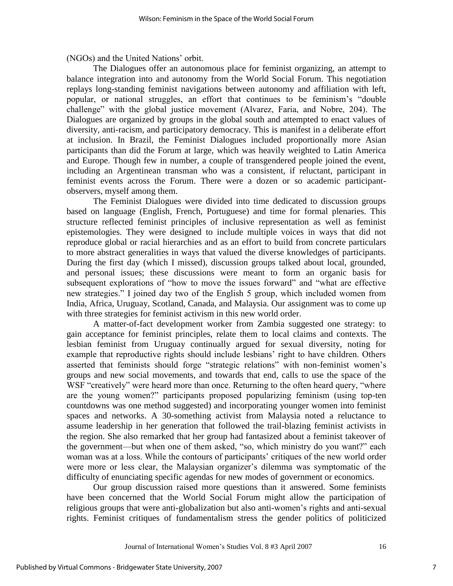(NGOs) and the United Nations' orbit.

The Dialogues offer an autonomous place for feminist organizing, an attempt to balance integration into and autonomy from the World Social Forum. This negotiation replays long-standing feminist navigations between autonomy and affiliation with left, popular, or national struggles, an effort that continues to be feminism's "double" challenge" with the global justice movement (Alvarez, Faria, and Nobre, 204). The Dialogues are organized by groups in the global south and attempted to enact values of diversity, anti-racism, and participatory democracy. This is manifest in a deliberate effort at inclusion. In Brazil, the Feminist Dialogues included proportionally more Asian participants than did the Forum at large, which was heavily weighted to Latin America and Europe. Though few in number, a couple of transgendered people joined the event, including an Argentinean transman who was a consistent, if reluctant, participant in feminist events across the Forum. There were a dozen or so academic participantobservers, myself among them.

The Feminist Dialogues were divided into time dedicated to discussion groups based on language (English, French, Portuguese) and time for formal plenaries. This structure reflected feminist principles of inclusive representation as well as feminist epistemologies. They were designed to include multiple voices in ways that did not reproduce global or racial hierarchies and as an effort to build from concrete particulars to more abstract generalities in ways that valued the diverse knowledges of participants. During the first day (which I missed), discussion groups talked about local, grounded, and personal issues; these discussions were meant to form an organic basis for subsequent explorations of "how to move the issues forward" and "what are effective new strategies." I joined day two of the English 5 group, which included women from India, Africa, Uruguay, Scotland, Canada, and Malaysia. Our assignment was to come up with three strategies for feminist activism in this new world order.

A matter-of-fact development worker from Zambia suggested one strategy: to gain acceptance for feminist principles, relate them to local claims and contexts. The lesbian feminist from Uruguay continually argued for sexual diversity, noting for example that reproductive rights should include lesbians' right to have children. Others asserted that feminists should forge "strategic relations" with non-feminist women's groups and new social movements, and towards that end, calls to use the space of the WSF "creatively" were heard more than once. Returning to the often heard query, "where are the young women?" participants proposed popularizing feminism (using top-ten countdowns was one method suggested) and incorporating younger women into feminist spaces and networks. A 30-something activist from Malaysia noted a reluctance to assume leadership in her generation that followed the trail-blazing feminist activists in the region. She also remarked that her group had fantasized about a feminist takeover of the government—but when one of them asked, "so, which ministry do you want?" each woman was at a loss. While the contours of participants' critiques of the new world order were more or less clear, the Malaysian organizer's dilemma was symptomatic of the difficulty of enunciating specific agendas for new modes of government or economics.

Our group discussion raised more questions than it answered. Some feminists have been concerned that the World Social Forum might allow the participation of religious groups that were anti-globalization but also anti-women's rights and anti-sexual rights. Feminist critiques of fundamentalism stress the gender politics of politicized

Journal of International Women's Studies Vol. 8 #3 April 2007 16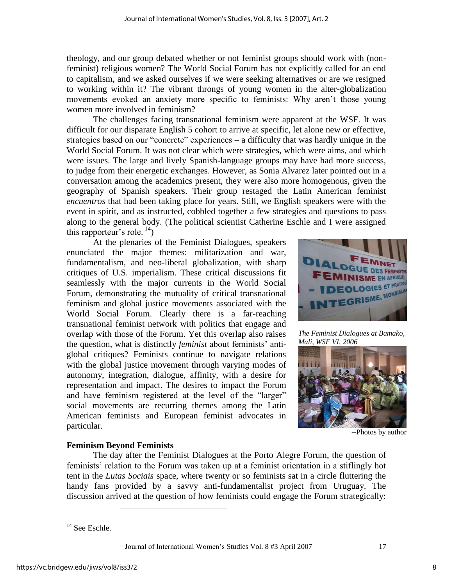theology, and our group debated whether or not feminist groups should work with (nonfeminist) religious women? The World Social Forum has not explicitly called for an end to capitalism, and we asked ourselves if we were seeking alternatives or are we resigned to working within it? The vibrant throngs of young women in the alter-globalization movements evoked an anxiety more specific to feminists: Why aren't those young women more involved in feminism?

The challenges facing transnational feminism were apparent at the WSF. It was difficult for our disparate English 5 cohort to arrive at specific, let alone new or effective, strategies based on our "concrete" experiences – a difficulty that was hardly unique in the World Social Forum. It was not clear which were strategies, which were aims, and which were issues. The large and lively Spanish-language groups may have had more success, to judge from their energetic exchanges. However, as Sonia Alvarez later pointed out in a conversation among the academics present, they were also more homogenous, given the geography of Spanish speakers. Their group restaged the Latin American feminist *encuentros* that had been taking place for years. Still, we English speakers were with the event in spirit, and as instructed, cobbled together a few strategies and questions to pass along to the general body. (The political scientist Catherine Eschle and I were assigned this rapporteur's role.  $^{14}$ )

At the plenaries of the Feminist Dialogues, speakers enunciated the major themes: militarization and war, fundamentalism, and neo-liberal globalization, with sharp critiques of U.S. imperialism. These critical discussions fit seamlessly with the major currents in the World Social Forum, demonstrating the mutuality of critical transnational feminism and global justice movements associated with the World Social Forum. Clearly there is a far-reaching transnational feminist network with politics that engage and overlap with those of the Forum. Yet this overlap also raises the question, what is distinctly *feminist* about feminists' antiglobal critiques? Feminists continue to navigate relations with the global justice movement through varying modes of autonomy, integration, dialogue, affinity, with a desire for representation and impact. The desires to impact the Forum and have feminism registered at the level of the "larger" social movements are recurring themes among the Latin American feminists and European feminist advocates in particular.



*The Feminist Dialogues at Bamako, Mali, WSF VI, 2006*



--Photos by author

### **Feminism Beyond Feminists**

 $\overline{a}$ 

The day after the Feminist Dialogues at the Porto Alegre Forum, the question of feminists' relation to the Forum was taken up at a feminist orientation in a stiflingly hot tent in the *Lutas Sociais* space, where twenty or so feminists sat in a circle fluttering the handy fans provided by a savvy anti-fundamentalist project from Uruguay. The discussion arrived at the question of how feminists could engage the Forum strategically:

<sup>&</sup>lt;sup>14</sup> See Eschle.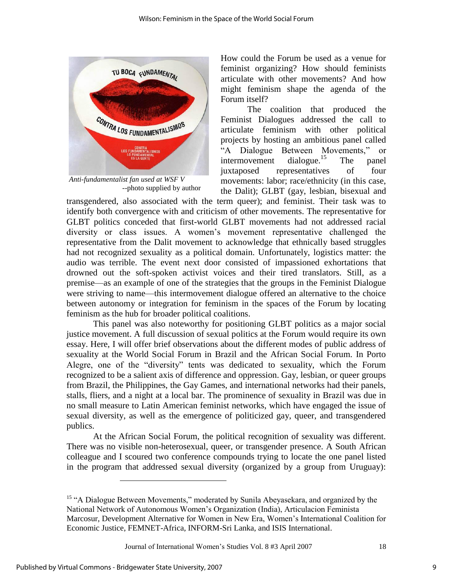

*Anti-fundamentalist fan used at WSF V* --photo supplied by author

How could the Forum be used as a venue for feminist organizing? How should feminists articulate with other movements? And how might feminism shape the agenda of the Forum itself?

The coalition that produced the Feminist Dialogues addressed the call to articulate feminism with other political projects by hosting an ambitious panel called "A Dialogue Between Movements," or<br>intermovement dialogue.<sup>15</sup> The panel intermovement dialogue.<sup>15</sup> The panel juxtaposed representatives of four movements: labor; race/ethnicity (in this case, the Dalit); GLBT (gay, lesbian, bisexual and

transgendered, also associated with the term queer); and feminist. Their task was to identify both convergence with and criticism of other movements. The representative for GLBT politics conceded that first-world GLBT movements had not addressed racial diversity or class issues. A women's movement representative challenged the representative from the Dalit movement to acknowledge that ethnically based struggles had not recognized sexuality as a political domain. Unfortunately, logistics matter: the audio was terrible. The event next door consisted of impassioned exhortations that drowned out the soft-spoken activist voices and their tired translators. Still, as a premise—as an example of one of the strategies that the groups in the Feminist Dialogue were striving to name—this intermovement dialogue offered an alternative to the choice between autonomy or integration for feminism in the spaces of the Forum by locating feminism as the hub for broader political coalitions.

This panel was also noteworthy for positioning GLBT politics as a major social justice movement. A full discussion of sexual politics at the Forum would require its own essay. Here, I will offer brief observations about the different modes of public address of sexuality at the World Social Forum in Brazil and the African Social Forum. In Porto Alegre, one of the "diversity" tents was dedicated to sexuality, which the Forum recognized to be a salient axis of difference and oppression. Gay, lesbian, or queer groups from Brazil, the Philippines, the Gay Games, and international networks had their panels, stalls, fliers, and a night at a local bar. The prominence of sexuality in Brazil was due in no small measure to Latin American feminist networks, which have engaged the issue of sexual diversity, as well as the emergence of politicized gay, queer, and transgendered publics.

At the African Social Forum, the political recognition of sexuality was different. There was no visible non-heterosexual, queer, or transgender presence. A South African colleague and I scoured two conference compounds trying to locate the one panel listed in the program that addressed sexual diversity (organized by a group from Uruguay):

Journal of International Women's Studies Vol. 8 #3 April 2007 18

 $\overline{a}$ 

<sup>&</sup>lt;sup>15</sup> "A Dialogue Between Movements," moderated by Sunila Abeyasekara, and organized by the National Network of Autonomous Women's Organization (India), Articulacion Feminista Marcosur, Development Alternative for Women in New Era, Women's International Coalition for Economic Justice, FEMNET-Africa, INFORM-Sri Lanka, and ISIS International.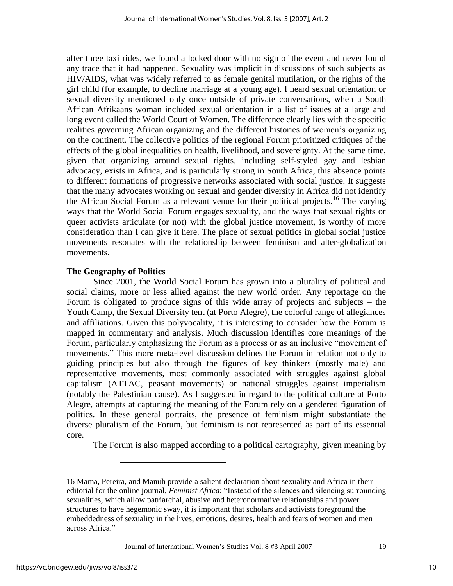after three taxi rides, we found a locked door with no sign of the event and never found any trace that it had happened. Sexuality was implicit in discussions of such subjects as HIV/AIDS, what was widely referred to as female genital mutilation, or the rights of the girl child (for example, to decline marriage at a young age). I heard sexual orientation or sexual diversity mentioned only once outside of private conversations, when a South African Afrikaans woman included sexual orientation in a list of issues at a large and long event called the World Court of Women. The difference clearly lies with the specific realities governing African organizing and the different histories of women's organizing on the continent. The collective politics of the regional Forum prioritized critiques of the effects of the global inequalities on health, livelihood, and sovereignty. At the same time, given that organizing around sexual rights, including self-styled gay and lesbian advocacy, exists in Africa, and is particularly strong in South Africa, this absence points to different formations of progressive networks associated with social justice. It suggests that the many advocates working on sexual and gender diversity in Africa did not identify the African Social Forum as a relevant venue for their political projects.<sup>16</sup> The varying ways that the World Social Forum engages sexuality, and the ways that sexual rights or queer activists articulate (or not) with the global justice movement, is worthy of more consideration than I can give it here. The place of sexual politics in global social justice movements resonates with the relationship between feminism and alter-globalization movements.

### **The Geography of Politics**

 $\overline{a}$ 

Since 2001, the World Social Forum has grown into a plurality of political and social claims, more or less allied against the new world order. Any reportage on the Forum is obligated to produce signs of this wide array of projects and subjects – the Youth Camp, the Sexual Diversity tent (at Porto Alegre), the colorful range of allegiances and affiliations. Given this polyvocality, it is interesting to consider how the Forum is mapped in commentary and analysis. Much discussion identifies core meanings of the Forum, particularly emphasizing the Forum as a process or as an inclusive "movement of movements." This more meta-level discussion defines the Forum in relation not only to guiding principles but also through the figures of key thinkers (mostly male) and representative movements, most commonly associated with struggles against global capitalism (ATTAC, peasant movements) or national struggles against imperialism (notably the Palestinian cause). As I suggested in regard to the political culture at Porto Alegre, attempts at capturing the meaning of the Forum rely on a gendered figuration of politics. In these general portraits, the presence of feminism might substantiate the diverse pluralism of the Forum, but feminism is not represented as part of its essential core.

The Forum is also mapped according to a political cartography, given meaning by

Journal of International Women's Studies Vol. 8 #3 April 2007 19

<sup>16</sup> Mama, Pereira, and Manuh provide a salient declaration about sexuality and Africa in their editorial for the online journal, *Feminist Africa*: "Instead of the silences and silencing surrounding sexualities, which allow patriarchal, abusive and heteronormative relationships and power structures to have hegemonic sway, it is important that scholars and activists foreground the embeddedness of sexuality in the lives, emotions, desires, health and fears of women and men across Africa."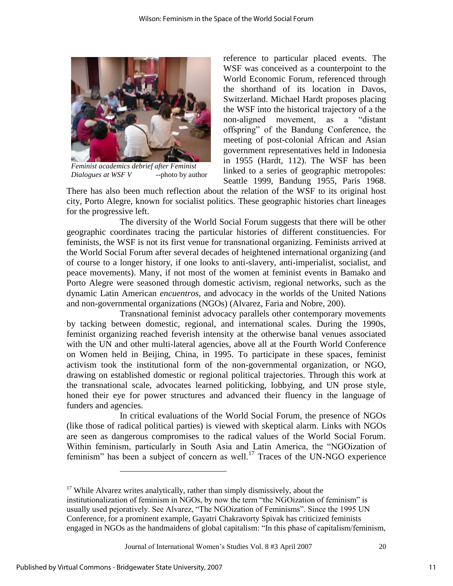

*Feminist academics debrief after Feminist Dialogues at WSF V* --photo by author

reference to particular placed events. The WSF was conceived as a counterpoint to the World Economic Forum, referenced through the shorthand of its location in Davos, Switzerland. Michael Hardt proposes placing the WSF into the historical trajectory of a the non-aligned movement, as a "distant" offspring" of the Bandung Conference, the meeting of post-colonial African and Asian government representatives held in Indonesia in 1955 (Hardt, 112). The WSF has been linked to a series of geographic metropoles: Seattle 1999, Bandung 1955, Paris 1968.

There has also been much reflection about the relation of the WSF to its original host city, Porto Alegre, known for socialist politics. These geographic histories chart lineages for the progressive left.

The diversity of the World Social Forum suggests that there will be other geographic coordinates tracing the particular histories of different constituencies. For feminists, the WSF is not its first venue for transnational organizing. Feminists arrived at the World Social Forum after several decades of heightened international organizing (and of course to a longer history, if one looks to anti-slavery, anti-imperialist, socialist, and peace movements). Many, if not most of the women at feminist events in Bamako and Porto Alegre were seasoned through domestic activism, regional networks, such as the dynamic Latin American *encuentros,* and advocacy in the worlds of the United Nations and non-governmental organizations (NGOs) (Alvarez, Faria and Nobre, 200).

Transnational feminist advocacy parallels other contemporary movements by tacking between domestic, regional, and international scales. During the 1990s, feminist organizing reached feverish intensity at the otherwise banal venues associated with the UN and other multi-lateral agencies, above all at the Fourth World Conference on Women held in Beijing, China, in 1995. To participate in these spaces, feminist activism took the institutional form of the non-governmental organization, or NGO, drawing on established domestic or regional political trajectories. Through this work at the transnational scale, advocates learned politicking, lobbying, and UN prose style, honed their eye for power structures and advanced their fluency in the language of funders and agencies.

In critical evaluations of the World Social Forum, the presence of NGOs (like those of radical political parties) is viewed with skeptical alarm. Links with NGOs are seen as dangerous compromises to the radical values of the World Social Forum. Within feminism, particularly in South Asia and Latin America, the "NGOization of feminism" has been a subject of concern as well.<sup>17</sup> Traces of the UN-NGO experience

 $\overline{a}$ 

 $17$  While Alvarez writes analytically, rather than simply dismissively, about the institutionalization of feminism in NGOs, by now the term "the NGOization of feminism" is usually used pejoratively. See Alvarez, "The NGOization of Feminisms". Since the 1995 UN Conference, for a prominent example, Gayatri Chakravorty Spivak has criticized feminists engaged in NGOs as the handmaidens of global capitalism: "In this phase of capitalism/feminism,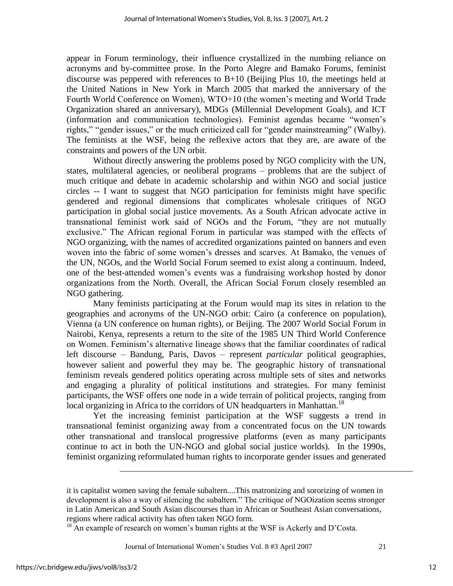appear in Forum terminology, their influence crystallized in the numbing reliance on acronyms and by-committee prose. In the Porto Alegre and Bamako Forums, feminist discourse was peppered with references to B+10 (Beijing Plus 10, the meetings held at the United Nations in New York in March 2005 that marked the anniversary of the Fourth World Conference on Women), WTO+10 (the women's meeting and World Trade Organization shared an anniversary), MDGs (Millennial Development Goals), and ICT (information and communication technologies). Feminist agendas became "women's rights," "gender issues," or the much criticized call for "gender mainstreaming" (Walby). The feminists at the WSF, being the reflexive actors that they are, are aware of the constraints and powers of the UN orbit.

Without directly answering the problems posed by NGO complicity with the UN, states, multilateral agencies, or neoliberal programs – problems that are the subject of much critique and debate in academic scholarship and within NGO and social justice circles -- I want to suggest that NGO participation for feminists might have specific gendered and regional dimensions that complicates wholesale critiques of NGO participation in global social justice movements. As a South African advocate active in transnational feminist work said of NGOs and the Forum, "they are not mutually exclusive." The African regional Forum in particular was stamped with the effects of NGO organizing, with the names of accredited organizations painted on banners and even woven into the fabric of some women's dresses and scarves. At Bamako, the venues of the UN, NGOs, and the World Social Forum seemed to exist along a continuum. Indeed, one of the best-attended women's events was a fundraising workshop hosted by donor organizations from the North. Overall, the African Social Forum closely resembled an NGO gathering.

Many feminists participating at the Forum would map its sites in relation to the geographies and acronyms of the UN-NGO orbit: Cairo (a conference on population), Vienna (a UN conference on human rights), or Beijing. The 2007 World Social Forum in Nairobi, Kenya, represents a return to the site of the 1985 UN Third World Conference on Women. Feminism's alternative lineage shows that the familiar coordinates of radical left discourse – Bandung, Paris, Davos – represent *particular* political geographies, however salient and powerful they may be. The geographic history of transnational feminism reveals gendered politics operating across multiple sets of sites and networks and engaging a plurality of political institutions and strategies. For many feminist participants, the WSF offers one node in a wide terrain of political projects, ranging from local organizing in Africa to the corridors of UN headquarters in Manhattan.<sup>18</sup>

Yet the increasing feminist participation at the WSF suggests a trend in transnational feminist organizing away from a concentrated focus on the UN towards other transnational and translocal progressive platforms (even as many participants continue to act in both the UN-NGO and global social justice worlds). In the 1990s, feminist organizing reformulated human rights to incorporate gender issues and generated

 $\overline{a}$ 

it is capitalist women saving the female subaltern....This matronizing and sororizing of women in development is also a way of silencing the subaltern." The critique of NGOization seems stronger in Latin American and South Asian discourses than in African or Southeast Asian conversations, regions where radical activity has often taken NGO form.

 $18$  An example of research on women's human rights at the WSF is Ackerly and D'Costa.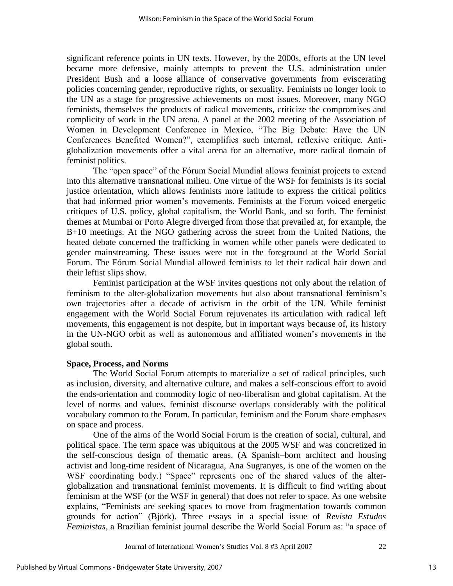significant reference points in UN texts. However, by the 2000s, efforts at the UN level became more defensive, mainly attempts to prevent the U.S. administration under President Bush and a loose alliance of conservative governments from eviscerating policies concerning gender, reproductive rights, or sexuality. Feminists no longer look to the UN as a stage for progressive achievements on most issues. Moreover, many NGO feminists, themselves the products of radical movements, criticize the compromises and complicity of work in the UN arena. A panel at the 2002 meeting of the Association of Women in Development Conference in Mexico, "The Big Debate: Have the UN Conferences Benefited Women?", exemplifies such internal, reflexive critique. Antiglobalization movements offer a vital arena for an alternative, more radical domain of feminist politics.

The "open space" of the Fórum Social Mundial allows feminist projects to extend into this alternative transnational milieu. One virtue of the WSF for feminists is its social justice orientation, which allows feminists more latitude to express the critical politics that had informed prior women's movements. Feminists at the Forum voiced energetic critiques of U.S. policy, global capitalism, the World Bank, and so forth. The feminist themes at Mumbai or Porto Alegre diverged from those that prevailed at, for example, the B+10 meetings. At the NGO gathering across the street from the United Nations, the heated debate concerned the trafficking in women while other panels were dedicated to gender mainstreaming. These issues were not in the foreground at the World Social Forum. The Fórum Social Mundial allowed feminists to let their radical hair down and their leftist slips show.

Feminist participation at the WSF invites questions not only about the relation of feminism to the alter-globalization movements but also about transnational feminism's own trajectories after a decade of activism in the orbit of the UN. While feminist engagement with the World Social Forum rejuvenates its articulation with radical left movements, this engagement is not despite, but in important ways because of, its history in the UN-NGO orbit as well as autonomous and affiliated women's movements in the global south.

#### **Space, Process, and Norms**

The World Social Forum attempts to materialize a set of radical principles, such as inclusion, diversity, and alternative culture, and makes a self-conscious effort to avoid the ends-orientation and commodity logic of neo-liberalism and global capitalism. At the level of norms and values, feminist discourse overlaps considerably with the political vocabulary common to the Forum. In particular, feminism and the Forum share emphases on space and process.

One of the aims of the World Social Forum is the creation of social, cultural, and political space. The term space was ubiquitous at the 2005 WSF and was concretized in the self-conscious design of thematic areas. (A Spanish–born architect and housing activist and long-time resident of Nicaragua, Ana Sugranyes, is one of the women on the WSF coordinating body.) "Space" represents one of the shared values of the alterglobalization and transnational feminist movements. It is difficult to find writing about feminism at the WSF (or the WSF in general) that does not refer to space. As one website explains, "Feminists are seeking spaces to move from fragmentation towards common grounds for action‖ (Björk). Three essays in a special issue of *Revista Estudos Feministas*, a Brazilian feminist journal describe the World Social Forum as: "a space of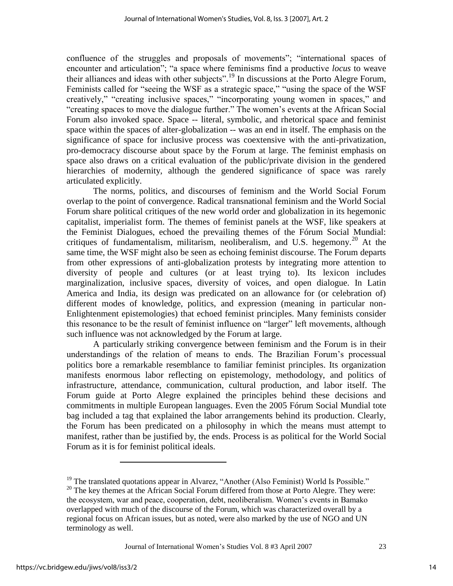confluence of the struggles and proposals of movements"; "international spaces of encounter and articulation"; "a space where feminisms find a productive *locus* to weave their alliances and ideas with other subjects".<sup>19</sup> In discussions at the Porto Alegre Forum, Feminists called for "seeing the WSF as a strategic space," "using the space of the WSF creatively," "creating inclusive spaces," "incorporating young women in spaces," and "creating spaces to move the dialogue further." The women's events at the African Social Forum also invoked space. Space -- literal, symbolic, and rhetorical space and feminist space within the spaces of alter-globalization -- was an end in itself. The emphasis on the significance of space for inclusive process was coextensive with the anti-privatization, pro-democracy discourse about space by the Forum at large. The feminist emphasis on space also draws on a critical evaluation of the public/private division in the gendered hierarchies of modernity, although the gendered significance of space was rarely articulated explicitly.

The norms, politics, and discourses of feminism and the World Social Forum overlap to the point of convergence. Radical transnational feminism and the World Social Forum share political critiques of the new world order and globalization in its hegemonic capitalist, imperialist form. The themes of feminist panels at the WSF, like speakers at the Feminist Dialogues, echoed the prevailing themes of the Fórum Social Mundial: critiques of fundamentalism, militarism, neoliberalism, and U.S. hegemony.<sup>20</sup> At the same time, the WSF might also be seen as echoing feminist discourse. The Forum departs from other expressions of anti-globalization protests by integrating more attention to diversity of people and cultures (or at least trying to). Its lexicon includes marginalization, inclusive spaces, diversity of voices, and open dialogue. In Latin America and India, its design was predicated on an allowance for (or celebration of) different modes of knowledge, politics, and expression (meaning in particular non-Enlightenment epistemologies) that echoed feminist principles. Many feminists consider this resonance to be the result of feminist influence on "larger" left movements, although such influence was not acknowledged by the Forum at large.

A particularly striking convergence between feminism and the Forum is in their understandings of the relation of means to ends. The Brazilian Forum's processual politics bore a remarkable resemblance to familiar feminist principles. Its organization manifests enormous labor reflecting on epistemology, methodology, and politics of infrastructure, attendance, communication, cultural production, and labor itself. The Forum guide at Porto Alegre explained the principles behind these decisions and commitments in multiple European languages. Even the 2005 Fórum Social Mundial tote bag included a tag that explained the labor arrangements behind its production. Clearly, the Forum has been predicated on a philosophy in which the means must attempt to manifest, rather than be justified by, the ends. Process is as political for the World Social Forum as it is for feminist political ideals.

 $\overline{a}$ 

 $19$  The translated quotations appear in Alvarez, "Another (Also Feminist) World Is Possible."

<sup>&</sup>lt;sup>20</sup> The key themes at the African Social Forum differed from those at Porto Alegre. They were: the ecosystem, war and peace, cooperation, debt, neoliberalism. Women's events in Bamako overlapped with much of the discourse of the Forum, which was characterized overall by a regional focus on African issues, but as noted, were also marked by the use of NGO and UN terminology as well.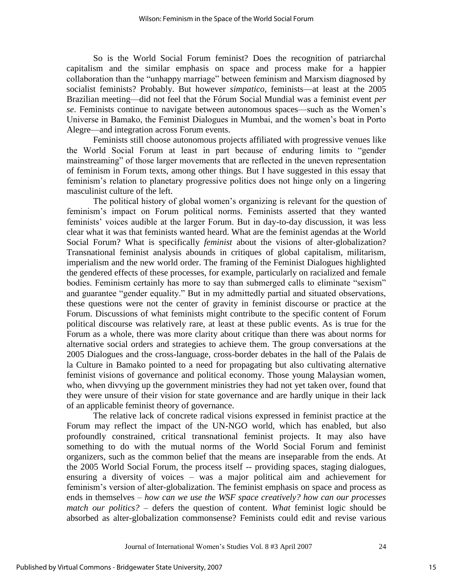So is the World Social Forum feminist? Does the recognition of patriarchal capitalism and the similar emphasis on space and process make for a happier collaboration than the "unhappy marriage" between feminism and Marxism diagnosed by socialist feminists? Probably. But however *simpatico*, feminists—at least at the 2005 Brazilian meeting—did not feel that the Fórum Social Mundial was a feminist event *per se*. Feminists continue to navigate between autonomous spaces—such as the Women's Universe in Bamako, the Feminist Dialogues in Mumbai, and the women's boat in Porto Alegre—and integration across Forum events.

Feminists still choose autonomous projects affiliated with progressive venues like the World Social Forum at least in part because of enduring limits to "gender mainstreaming" of those larger movements that are reflected in the uneven representation of feminism in Forum texts, among other things. But I have suggested in this essay that feminism's relation to planetary progressive politics does not hinge only on a lingering masculinist culture of the left.

The political history of global women's organizing is relevant for the question of feminism's impact on Forum political norms. Feminists asserted that they wanted feminists' voices audible at the larger Forum. But in day-to-day discussion, it was less clear what it was that feminists wanted heard. What are the feminist agendas at the World Social Forum? What is specifically *feminist* about the visions of alter-globalization? Transnational feminist analysis abounds in critiques of global capitalism, militarism, imperialism and the new world order. The framing of the Feminist Dialogues highlighted the gendered effects of these processes, for example, particularly on racialized and female bodies. Feminism certainly has more to say than submerged calls to eliminate "sexism" and guarantee "gender equality." But in my admittedly partial and situated observations, these questions were not the center of gravity in feminist discourse or practice at the Forum. Discussions of what feminists might contribute to the specific content of Forum political discourse was relatively rare, at least at these public events. As is true for the Forum as a whole, there was more clarity about critique than there was about norms for alternative social orders and strategies to achieve them. The group conversations at the 2005 Dialogues and the cross-language, cross-border debates in the hall of the Palais de la Culture in Bamako pointed to a need for propagating but also cultivating alternative feminist visions of governance and political economy. Those young Malaysian women, who, when divvying up the government ministries they had not yet taken over, found that they were unsure of their vision for state governance and are hardly unique in their lack of an applicable feminist theory of governance.

The relative lack of concrete radical visions expressed in feminist practice at the Forum may reflect the impact of the UN-NGO world, which has enabled, but also profoundly constrained, critical transnational feminist projects. It may also have something to do with the mutual norms of the World Social Forum and feminist organizers, such as the common belief that the means are inseparable from the ends. At the 2005 World Social Forum, the process itself -- providing spaces, staging dialogues, ensuring a diversity of voices – was a major political aim and achievement for feminism's version of alter-globalization. The feminist emphasis on space and process as ends in themselves – *how can we use the WSF space creatively? how can our processes match our politics?* – defers the question of content. *What* feminist logic should be absorbed as alter-globalization commonsense? Feminists could edit and revise various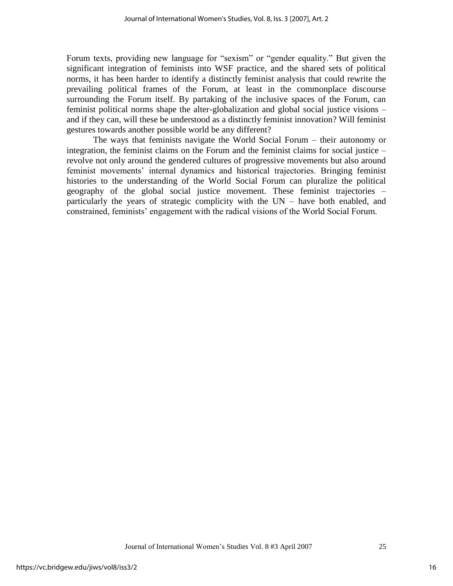Forum texts, providing new language for "sexism" or "gender equality." But given the significant integration of feminists into WSF practice, and the shared sets of political norms, it has been harder to identify a distinctly feminist analysis that could rewrite the prevailing political frames of the Forum, at least in the commonplace discourse surrounding the Forum itself. By partaking of the inclusive spaces of the Forum, can feminist political norms shape the alter-globalization and global social justice visions – and if they can, will these be understood as a distinctly feminist innovation? Will feminist gestures towards another possible world be any different?

The ways that feminists navigate the World Social Forum – their autonomy or integration, the feminist claims on the Forum and the feminist claims for social justice – revolve not only around the gendered cultures of progressive movements but also around feminist movements' internal dynamics and historical trajectories. Bringing feminist histories to the understanding of the World Social Forum can pluralize the political geography of the global social justice movement. These feminist trajectories – particularly the years of strategic complicity with the UN – have both enabled, and constrained, feminists' engagement with the radical visions of the World Social Forum.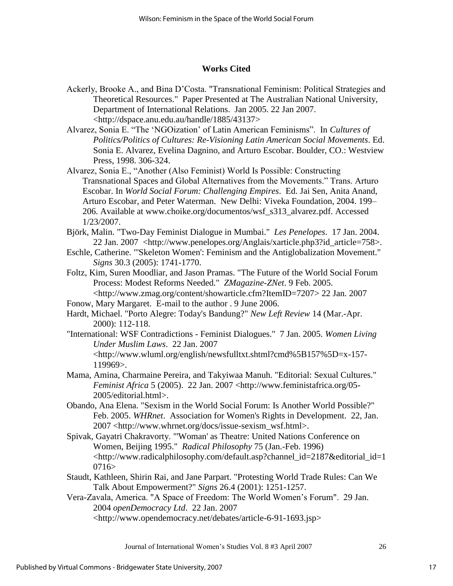## **Works Cited**

- Ackerly, Brooke A., and Bina D'Costa. "Transnational Feminism: Political Strategies and Theoretical Resources." Paper Presented at The Australian National University, Department of International Relations. Jan 2005. 22 Jan 2007. <http://dspace.anu.edu.au/handle/1885/43137>
- Alvarez, Sonia E. "The 'NGOization' of Latin American Feminisms". In *Cultures of Politics/Politics of Cultures: Re-Visioning Latin American Social Movements*. Ed. Sonia E. Alvarez, Evelina Dagnino, and Arturo Escobar. Boulder, CO.: Westview Press, 1998. 306-324.
- Alvarez, Sonia E., "Another (Also Feminist) World Is Possible: Constructing Transnational Spaces and Global Alternatives from the Movements." Trans. Arturo Escobar. In *World Social Forum: Challenging Empires*. Ed. Jai Sen, Anita Anand, Arturo Escobar, and Peter Waterman. New Delhi: Viveka Foundation, 2004. 199– 206. Available at [www.choike.org/documentos/wsf\\_s313\\_alvarez.pdf.](http://www.choike.org/documentos/wsf_s313_alvarez.pdf.) Accessed 1/23/2007.
- Björk, Malin. "Two-Day Feminist Dialogue in Mumbai." *Les Penelopes*. 17 Jan. 2004. 22 Jan. 2007 <http://www.penelopes.org/Anglais/xarticle.php3?id\_article=758>.
- Eschle, Catherine. "'Skeleton Women': Feminism and the Antiglobalization Movement." *Signs* 30.3 (2005): 1741-1770.
- Foltz, Kim, Suren Moodliar, and Jason Pramas. "The Future of the World Social Forum Process: Modest Reforms Needed." *ZMagazine-ZNet*. 9 Feb. 2005. <http://www.zmag.org/content/showarticle.cfm?ItemID=7207> 22 Jan. 2007
- Fonow, Mary Margaret. E-mail to the author . 9 June 2006.
- Hardt, Michael. "Porto Alegre: Today's Bandung?" *New Left Review* 14 (Mar.-Apr. 2000): 112-118.
- "International: WSF Contradictions Feminist Dialogues." 7 Jan. 2005. *Women Living Under Muslim Laws*. 22 Jan. 2007 <http://www.wluml.org/english/newsfulltxt.shtml?cmd%5B157%5D=x-157- 119969>.
- Mama, Amina, Charmaine Pereira, and Takyiwaa Manuh. "Editorial: Sexual Cultures." *Feminist Africa* 5 (2005). 22 Jan. 2007 <http://www.feministafrica.org/05- 2005/editorial.html>.
- Obando, Ana Elena. "Sexism in the World Social Forum: Is Another World Possible?" Feb. 2005. *WHRnet*. Association for Women's Rights in Development. 22, Jan. 2007 <http://www.whrnet.org/docs/issue-sexism\_wsf.html>.
- Spivak, Gayatri Chakravorty. "'Woman' as Theatre: United Nations Conference on Women, Beijing 1995." *Radical Philosophy* 75 (Jan.-Feb. 1996) <http://www.radicalphilosophy.com/default.asp?channel\_id=2187&editorial\_id=1  $0716 >$
- Staudt, Kathleen, Shirin Rai, and Jane Parpart. "Protesting World Trade Rules: Can We Talk About Empowerment?" *Signs* 26.4 (2001): 1251-1257.
- Vera-Zavala, America. "A Space of Freedom: The World Women's Forum". 29 Jan. 2004 *openDemocracy Ltd*. 22 Jan. 2007 <http://www.opendemocracy.net/debates/article-6-91-1693.jsp>

Journal of International Women's Studies Vol. 8 #3 April 2007 26